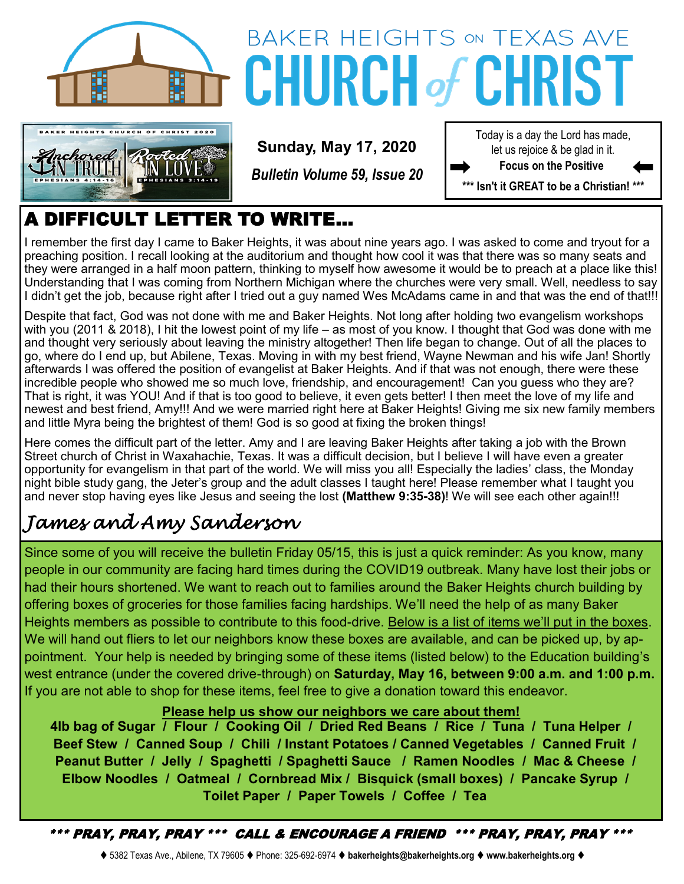



# **BAKER HEIGHTS ON TEXAS AVE CHURCH of CI**

**Sunday, May 17, 2020**

*Bulletin Volume 59, Issue 20*

Today is a day the Lord has made, let us rejoice & be glad in it. **Focus on the Positive** 

**\*\*\* Isn't it GREAT to be a Christian! \*\*\***

## A DIFFICULT LETTER TO WRITE…

I remember the first day I came to Baker Heights, it was about nine years ago. I was asked to come and tryout for a preaching position. I recall looking at the auditorium and thought how cool it was that there was so many seats and they were arranged in a half moon pattern, thinking to myself how awesome it would be to preach at a place like this! Understanding that I was coming from Northern Michigan where the churches were very small. Well, needless to say I didn't get the job, because right after I tried out a guy named Wes McAdams came in and that was the end of that!!!

Despite that fact, God was not done with me and Baker Heights. Not long after holding two evangelism workshops with you (2011 & 2018), I hit the lowest point of my life – as most of you know. I thought that God was done with me and thought very seriously about leaving the ministry altogether! Then life began to change. Out of all the places to go, where do I end up, but Abilene, Texas. Moving in with my best friend, Wayne Newman and his wife Jan! Shortly afterwards I was offered the position of evangelist at Baker Heights. And if that was not enough, there were these incredible people who showed me so much love, friendship, and encouragement! Can you guess who they are? That is right, it was YOU! And if that is too good to believe, it even gets better! I then meet the love of my life and newest and best friend, Amy!!! And we were married right here at Baker Heights! Giving me six new family members and little Myra being the brightest of them! God is so good at fixing the broken things!

Here comes the difficult part of the letter. Amy and I are leaving Baker Heights after taking a job with the Brown Street church of Christ in Waxahachie, Texas. It was a difficult decision, but I believe I will have even a greater opportunity for evangelism in that part of the world. We will miss you all! Especially the ladies' class, the Monday night bible study gang, the Jeter's group and the adult classes I taught here! Please remember what I taught you and never stop having eyes like Jesus and seeing the lost **(Matthew 9:35-38)**! We will see each other again!!!

## *James and Amy Sanderson*

Since some of you will receive the bulletin Friday 05/15, this is just a quick reminder: As you know, many people in our community are facing hard times during the COVID19 outbreak. Many have lost their jobs or had their hours shortened. We want to reach out to families around the Baker Heights church building by offering boxes of groceries for those families facing hardships. We'll need the help of as many Baker Heights members as possible to contribute to this food-drive. Below is a list of items we'll put in the boxes. We will hand out fliers to let our neighbors know these boxes are available, and can be picked up, by appointment. Your help is needed by bringing some of these items (listed below) to the Education building's west entrance (under the covered drive-through) on **Saturday, May 16, between 9:00 a.m. and 1:00 p.m.** If you are not able to shop for these items, feel free to give a donation toward this endeavor.

#### **Please help us show our neighbors we care about them!**

**4lb bag of Sugar / Flour / Cooking Oil / Dried Red Beans / Rice / Tuna / Tuna Helper / Beef Stew / Canned Soup / Chili / Instant Potatoes / Canned Vegetables / Canned Fruit / Peanut Butter / Jelly / Spaghetti / Spaghetti Sauce / Ramen Noodles / Mac & Cheese / Elbow Noodles / Oatmeal / Cornbread Mix / Bisquick (small boxes) / Pancake Syrup / Toilet Paper / Paper Towels / Coffee / Tea** 

\*\*\* PRAY, PRAY, PRAY \*\*\* CALL & ENCOURAGE A FRIEND \*\*\* PRAY, PRAY, PRAY \*\*\*

⧫ 5382 Texas Ave., Abilene, TX 79605 ⧫ Phone: 325-692-6974 ⧫ **bakerheights@bakerheights.org** ⧫ **www.bakerheights.org** ⧫